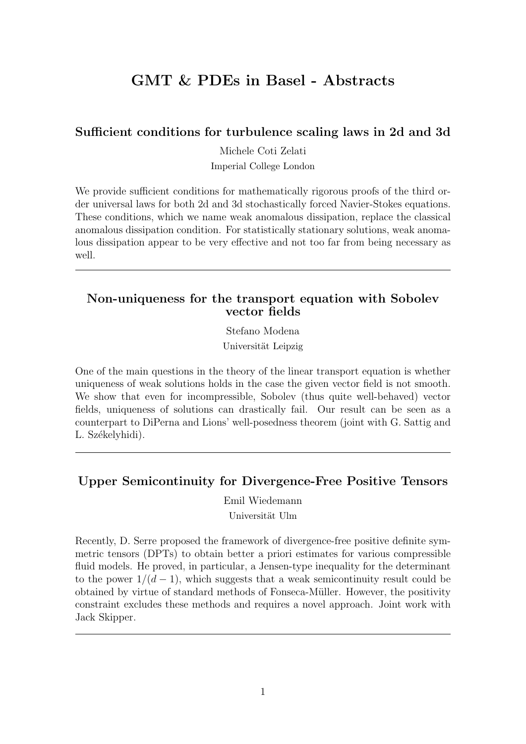# GMT & PDEs in Basel - Abstracts

### Sufficient conditions for turbulence scaling laws in 2d and 3d

Michele Coti Zelati

Imperial College London

We provide sufficient conditions for mathematically rigorous proofs of the third order universal laws for both 2d and 3d stochastically forced Navier-Stokes equations. These conditions, which we name weak anomalous dissipation, replace the classical anomalous dissipation condition. For statistically stationary solutions, weak anomalous dissipation appear to be very effective and not too far from being necessary as well.

### Non-uniqueness for the transport equation with Sobolev vector fields

Stefano Modena Universität Leipzig

One of the main questions in the theory of the linear transport equation is whether uniqueness of weak solutions holds in the case the given vector field is not smooth. We show that even for incompressible, Sobolev (thus quite well-behaved) vector fields, uniqueness of solutions can drastically fail. Our result can be seen as a counterpart to DiPerna and Lions' well-posedness theorem (joint with G. Sattig and L. Székelyhidi).

### Upper Semicontinuity for Divergence-Free Positive Tensors

Emil Wiedemann

Universität Ulm

Recently, D. Serre proposed the framework of divergence-free positive definite symmetric tensors (DPTs) to obtain better a priori estimates for various compressible fluid models. He proved, in particular, a Jensen-type inequality for the determinant to the power  $1/(d-1)$ , which suggests that a weak semicontinuity result could be obtained by virtue of standard methods of Fonseca-Müller. However, the positivity constraint excludes these methods and requires a novel approach. Joint work with Jack Skipper.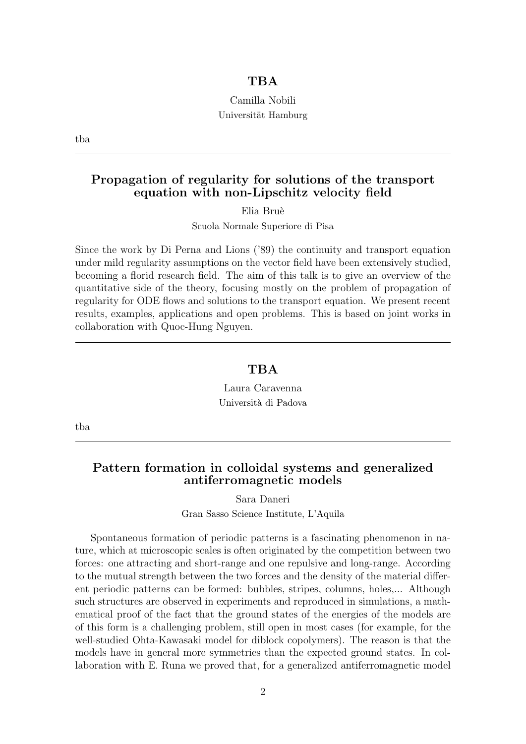#### **TBA**

### Camilla Nobili Universität Hamburg

tba

### Propagation of regularity for solutions of the transport equation with non-Lipschitz velocity field

Elia Bru`e

Scuola Normale Superiore di Pisa

Since the work by Di Perna and Lions ('89) the continuity and transport equation under mild regularity assumptions on the vector field have been extensively studied, becoming a florid research field. The aim of this talk is to give an overview of the quantitative side of the theory, focusing mostly on the problem of propagation of regularity for ODE flows and solutions to the transport equation. We present recent results, examples, applications and open problems. This is based on joint works in collaboration with Quoc-Hung Nguyen.

#### **TBA**

Laura Caravenna Università di Padova

tba

#### Pattern formation in colloidal systems and generalized antiferromagnetic models

Sara Daneri

Gran Sasso Science Institute, L'Aquila

Spontaneous formation of periodic patterns is a fascinating phenomenon in nature, which at microscopic scales is often originated by the competition between two forces: one attracting and short-range and one repulsive and long-range. According to the mutual strength between the two forces and the density of the material different periodic patterns can be formed: bubbles, stripes, columns, holes,... Although such structures are observed in experiments and reproduced in simulations, a mathematical proof of the fact that the ground states of the energies of the models are of this form is a challenging problem, still open in most cases (for example, for the well-studied Ohta-Kawasaki model for diblock copolymers). The reason is that the models have in general more symmetries than the expected ground states. In collaboration with E. Runa we proved that, for a generalized antiferromagnetic model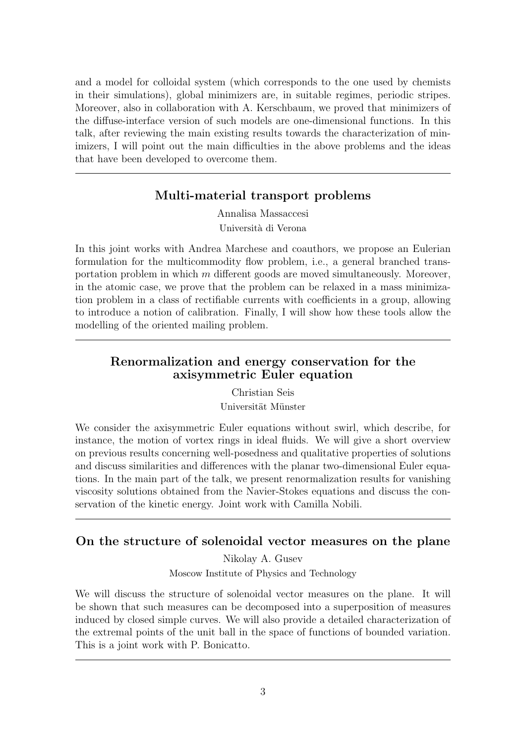and a model for colloidal system (which corresponds to the one used by chemists in their simulations), global minimizers are, in suitable regimes, periodic stripes. Moreover, also in collaboration with A. Kerschbaum, we proved that minimizers of the diffuse-interface version of such models are one-dimensional functions. In this talk, after reviewing the main existing results towards the characterization of minimizers, I will point out the main difficulties in the above problems and the ideas that have been developed to overcome them.

## Multi-material transport problems

Annalisa Massaccesi Universit`a di Verona

In this joint works with Andrea Marchese and coauthors, we propose an Eulerian formulation for the multicommodity flow problem, i.e., a general branched transportation problem in which  $m$  different goods are moved simultaneously. Moreover, in the atomic case, we prove that the problem can be relaxed in a mass minimization problem in a class of rectifiable currents with coefficients in a group, allowing to introduce a notion of calibration. Finally, I will show how these tools allow the modelling of the oriented mailing problem.

### Renormalization and energy conservation for the axisymmetric Euler equation

Christian Seis

Universität Münster

We consider the axisymmetric Euler equations without swirl, which describe, for instance, the motion of vortex rings in ideal fluids. We will give a short overview on previous results concerning well-posedness and qualitative properties of solutions and discuss similarities and differences with the planar two-dimensional Euler equations. In the main part of the talk, we present renormalization results for vanishing viscosity solutions obtained from the Navier-Stokes equations and discuss the conservation of the kinetic energy. Joint work with Camilla Nobili.

## On the structure of solenoidal vector measures on the plane

Nikolay A. Gusev Moscow Institute of Physics and Technology

We will discuss the structure of solenoidal vector measures on the plane. It will be shown that such measures can be decomposed into a superposition of measures induced by closed simple curves. We will also provide a detailed characterization of the extremal points of the unit ball in the space of functions of bounded variation. This is a joint work with P. Bonicatto.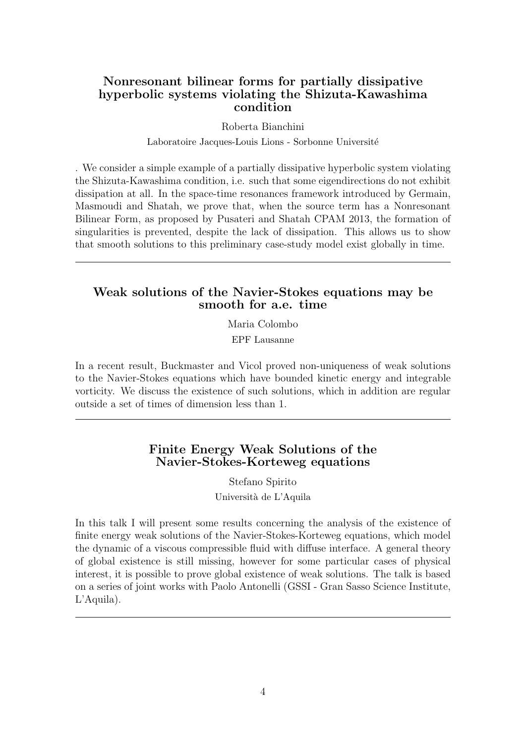### Nonresonant bilinear forms for partially dissipative hyperbolic systems violating the Shizuta-Kawashima condition

#### Roberta Bianchini

Laboratoire Jacques-Louis Lions - Sorbonne Université

. We consider a simple example of a partially dissipative hyperbolic system violating the Shizuta-Kawashima condition, i.e. such that some eigendirections do not exhibit dissipation at all. In the space-time resonances framework introduced by Germain, Masmoudi and Shatah, we prove that, when the source term has a Nonresonant Bilinear Form, as proposed by Pusateri and Shatah CPAM 2013, the formation of singularities is prevented, despite the lack of dissipation. This allows us to show that smooth solutions to this preliminary case-study model exist globally in time.

#### Weak solutions of the Navier-Stokes equations may be smooth for a.e. time

Maria Colombo EPF Lausanne

In a recent result, Buckmaster and Vicol proved non-uniqueness of weak solutions to the Navier-Stokes equations which have bounded kinetic energy and integrable vorticity. We discuss the existence of such solutions, which in addition are regular outside a set of times of dimension less than 1.

#### Finite Energy Weak Solutions of the Navier-Stokes-Korteweg equations

Stefano Spirito Università de L'Aquila

In this talk I will present some results concerning the analysis of the existence of finite energy weak solutions of the Navier-Stokes-Korteweg equations, which model the dynamic of a viscous compressible fluid with diffuse interface. A general theory of global existence is still missing, however for some particular cases of physical interest, it is possible to prove global existence of weak solutions. The talk is based on a series of joint works with Paolo Antonelli (GSSI - Gran Sasso Science Institute, L'Aquila).